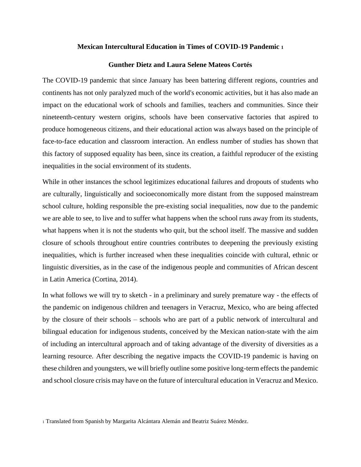#### **Mexican Intercultural Education in Times of COVID-19 Pandemic <sup>1</sup>**

## **Gunther Dietz and Laura Selene Mateos Cortés**

The COVID-19 pandemic that since January has been battering different regions, countries and continents has not only paralyzed much of the world's economic activities, but it has also made an impact on the educational work of schools and families, teachers and communities. Since their nineteenth-century western origins, schools have been conservative factories that aspired to produce homogeneous citizens, and their educational action was always based on the principle of face-to-face education and classroom interaction. An endless number of studies has shown that this factory of supposed equality has been, since its creation, a faithful reproducer of the existing inequalities in the social environment of its students.

While in other instances the school legitimizes educational failures and dropouts of students who are culturally, linguistically and socioeconomically more distant from the supposed mainstream school culture, holding responsible the pre-existing social inequalities, now due to the pandemic we are able to see, to live and to suffer what happens when the school runs away from its students, what happens when it is not the students who quit, but the school itself. The massive and sudden closure of schools throughout entire countries contributes to deepening the previously existing inequalities, which is further increased when these inequalities coincide with cultural, ethnic or linguistic diversities, as in the case of the indigenous people and communities of African descent in Latin America (Cortina, 2014).

In what follows we will try to sketch - in a preliminary and surely premature way - the effects of the pandemic on indigenous children and teenagers in Veracruz, Mexico, who are being affected by the closure of their schools – schools who are part of a public network of intercultural and bilingual education for indigenous students, conceived by the Mexican nation-state with the aim of including an intercultural approach and of taking advantage of the diversity of diversities as a learning resource. After describing the negative impacts the COVID-19 pandemic is having on these children and youngsters, we will briefly outline some positive long-term effects the pandemic and school closure crisis may have on the future of intercultural education in Veracruz and Mexico.

<sup>1</sup> Translated from Spanish by Margarita Alcántara Alemán and Beatriz Suárez Méndez.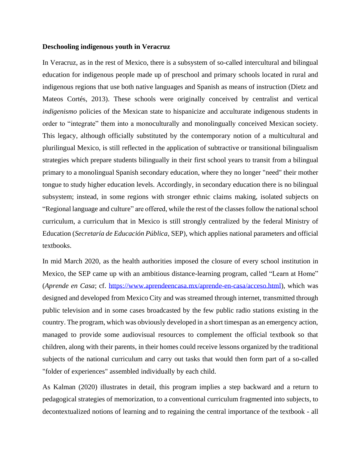### **Deschooling indigenous youth in Veracruz**

In Veracruz, as in the rest of Mexico, there is a subsystem of so-called intercultural and bilingual education for indigenous people made up of preschool and primary schools located in rural and indigenous regions that use both native languages and Spanish as means of instruction (Dietz and Mateos Cortés, 2013). These schools were originally conceived by centralist and vertical *indigenismo* policies of the Mexican state to hispanicize and acculturate indigenous students in order to "integrate" them into a monoculturally and monolingually conceived Mexican society. This legacy, although officially substituted by the contemporary notion of a multicultural and plurilingual Mexico, is still reflected in the application of subtractive or transitional bilingualism strategies which prepare students bilingually in their first school years to transit from a bilingual primary to a monolingual Spanish secondary education, where they no longer "need" their mother tongue to study higher education levels. Accordingly, in secondary education there is no bilingual subsystem; instead, in some regions with stronger ethnic claims making, isolated subjects on "Regional language and culture" are offered, while the rest of the classes follow the national school curriculum, a curriculum that in Mexico is still strongly centralized by the federal Ministry of Education (*Secretaría de Educación Pública*, SEP), which applies national parameters and official textbooks.

In mid March 2020, as the health authorities imposed the closure of every school institution in Mexico, the SEP came up with an ambitious distance-learning program, called "Learn at Home" (*Aprende en Casa*; cf. [https://www.aprendeencasa.mx/aprende-en-casa/acceso.html\)](https://www.aprendeencasa.mx/aprende-en-casa/acceso.html), which was designed and developed from Mexico City and was streamed through internet, transmitted through public television and in some cases broadcasted by the few public radio stations existing in the country. The program, which was obviously developed in a short timespan as an emergency action, managed to provide some audiovisual resources to complement the official textbook so that children, along with their parents, in their homes could receive lessons organized by the traditional subjects of the national curriculum and carry out tasks that would then form part of a so-called "folder of experiences" assembled individually by each child.

As Kalman (2020) illustrates in detail, this program implies a step backward and a return to pedagogical strategies of memorization, to a conventional curriculum fragmented into subjects, to decontextualized notions of learning and to regaining the central importance of the textbook - all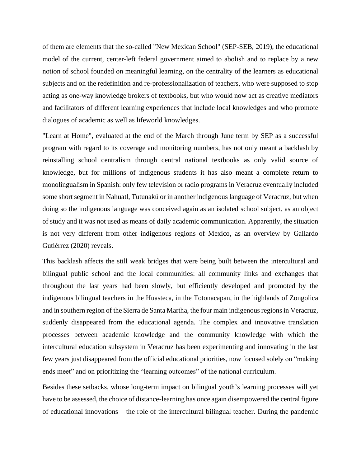of them are elements that the so-called "New Mexican School" (SEP-SEB, 2019), the educational model of the current, center-left federal government aimed to abolish and to replace by a new notion of school founded on meaningful learning, on the centrality of the learners as educational subjects and on the redefinition and re-professionalization of teachers, who were supposed to stop acting as one-way knowledge brokers of textbooks, but who would now act as creative mediators and facilitators of different learning experiences that include local knowledges and who promote dialogues of academic as well as lifeworld knowledges.

"Learn at Home", evaluated at the end of the March through June term by SEP as a successful program with regard to its coverage and monitoring numbers, has not only meant a backlash by reinstalling school centralism through central national textbooks as only valid source of knowledge, but for millions of indigenous students it has also meant a complete return to monolingualism in Spanish: only few television or radio programs in Veracruz eventually included some short segment in Nahuatl, Tutunakú or in another indigenous language of Veracruz, but when doing so the indigenous language was conceived again as an isolated school subject, as an object of study and it was not used as means of daily academic communication. Apparently, the situation is not very different from other indigenous regions of Mexico, as an overview by Gallardo Gutiérrez (2020) reveals.

This backlash affects the still weak bridges that were being built between the intercultural and bilingual public school and the local communities: all community links and exchanges that throughout the last years had been slowly, but efficiently developed and promoted by the indigenous bilingual teachers in the Huasteca, in the Totonacapan, in the highlands of Zongolica and in southern region of the Sierra de Santa Martha, the four main indigenous regions in Veracruz, suddenly disappeared from the educational agenda. The complex and innovative translation processes between academic knowledge and the community knowledge with which the intercultural education subsystem in Veracruz has been experimenting and innovating in the last few years just disappeared from the official educational priorities, now focused solely on "making ends meet" and on prioritizing the "learning outcomes" of the national curriculum.

Besides these setbacks, whose long-term impact on bilingual youth's learning processes will yet have to be assessed, the choice of distance-learning has once again disempowered the central figure of educational innovations – the role of the intercultural bilingual teacher. During the pandemic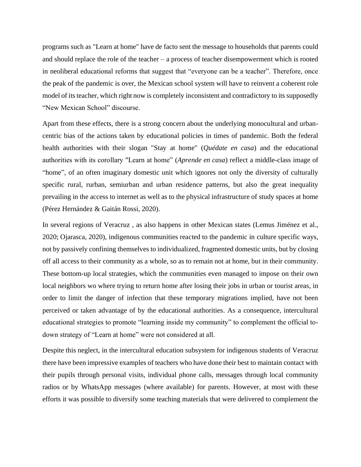programs such as "Learn at home" have de facto sent the message to households that parents could and should replace the role of the teacher – a process of teacher disempowerment which is rooted in neoliberal educational reforms that suggest that "everyone can be a teacher". Therefore, once the peak of the pandemic is over, the Mexican school system will have to reinvent a coherent role model of its teacher, which right now is completely inconsistent and contradictory to its supposedly "New Mexican School" discourse.

Apart from these effects, there is a strong concern about the underlying monocultural and urbancentric bias of the actions taken by educational policies in times of pandemic. Both the federal health authorities with their slogan "Stay at home" (*Quédate en casa*) and the educational authorities with its corollary "Learn at home" (*Aprende en casa*) reflect a middle-class image of "home", of an often imaginary domestic unit which ignores not only the diversity of culturally specific rural, rurban, semiurban and urban residence patterns, but also the great inequality prevailing in the access to internet as well as to the physical infrastructure of study spaces at home (Pérez Hernández & Gaitán Rossi, 2020).

In several regions of Veracruz , as also happens in other Mexican states (Lemus Jiménez et al., 2020; Ojarasca, 2020), indigenous communities reacted to the pandemic in culture specific ways, not by passively confining themselves to individualized, fragmented domestic units, but by closing off all access to their community as a whole, so as to remain not at home, but in their community. These bottom-up local strategies, which the communities even managed to impose on their own local neighbors wo where trying to return home after losing their jobs in urban or tourist areas, in order to limit the danger of infection that these temporary migrations implied, have not been perceived or taken advantage of by the educational authorities. As a consequence, intercultural educational strategies to promote "learning inside my community" to complement the official todown strategy of "Learn at home" were not considered at all.

Despite this neglect, in the intercultural education subsystem for indigenous students of Veracruz there have been impressive examples of teachers who have done their best to maintain contact with their pupils through personal visits, individual phone calls, messages through local community radios or by WhatsApp messages (where available) for parents. However, at most with these efforts it was possible to diversify some teaching materials that were delivered to complement the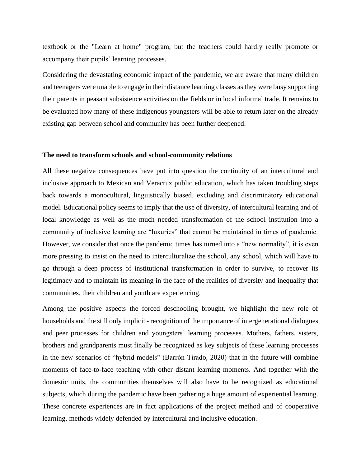textbook or the "Learn at home" program, but the teachers could hardly really promote or accompany their pupils' learning processes.

Considering the devastating economic impact of the pandemic, we are aware that many children and teenagers were unable to engage in their distance learning classes as they were busy supporting their parents in peasant subsistence activities on the fields or in local informal trade. It remains to be evaluated how many of these indigenous youngsters will be able to return later on the already existing gap between school and community has been further deepened.

### **The need to transform schools and school-community relations**

All these negative consequences have put into question the continuity of an intercultural and inclusive approach to Mexican and Veracruz public education, which has taken troubling steps back towards a monocultural, linguistically biased, excluding and discriminatory educational model. Educational policy seems to imply that the use of diversity, of intercultural learning and of local knowledge as well as the much needed transformation of the school institution into a community of inclusive learning are "luxuries" that cannot be maintained in times of pandemic. However, we consider that once the pandemic times has turned into a "new normality", it is even more pressing to insist on the need to interculturalize the school, any school, which will have to go through a deep process of institutional transformation in order to survive, to recover its legitimacy and to maintain its meaning in the face of the realities of diversity and inequality that communities, their children and youth are experiencing.

Among the positive aspects the forced deschooling brought, we highlight the new role of households and the still only implicit - recognition of the importance of intergenerational dialogues and peer processes for children and youngsters' learning processes. Mothers, fathers, sisters, brothers and grandparents must finally be recognized as key subjects of these learning processes in the new scenarios of "hybrid models" (Barrón Tirado, 2020) that in the future will combine moments of face-to-face teaching with other distant learning moments. And together with the domestic units, the communities themselves will also have to be recognized as educational subjects, which during the pandemic have been gathering a huge amount of experiential learning. These concrete experiences are in fact applications of the project method and of cooperative learning, methods widely defended by intercultural and inclusive education.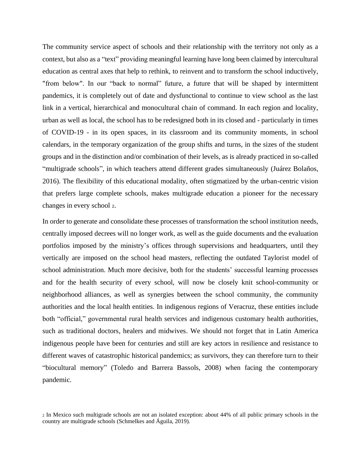The community service aspect of schools and their relationship with the territory not only as a context, but also as a "text" providing meaningful learning have long been claimed by intercultural education as central axes that help to rethink, to reinvent and to transform the school inductively, "from below". In our "back to normal" future, a future that will be shaped by intermittent pandemics, it is completely out of date and dysfunctional to continue to view school as the last link in a vertical, hierarchical and monocultural chain of command. In each region and locality, urban as well as local, the school has to be redesigned both in its closed and - particularly in times of COVID-19 - in its open spaces, in its classroom and its community moments, in school calendars, in the temporary organization of the group shifts and turns, in the sizes of the student groups and in the distinction and/or combination of their levels, as is already practiced in so-called "multigrade schools", in which teachers attend different grades simultaneously (Juárez Bolaños, 2016). The flexibility of this educational modality, often stigmatized by the urban-centric vision that prefers large complete schools, makes multigrade education a pioneer for the necessary changes in every school <sup>2</sup>.

In order to generate and consolidate these processes of transformation the school institution needs, centrally imposed decrees will no longer work, as well as the guide documents and the evaluation portfolios imposed by the ministry's offices through supervisions and headquarters, until they vertically are imposed on the school head masters, reflecting the outdated Taylorist model of school administration. Much more decisive, both for the students' successful learning processes and for the health security of every school, will now be closely knit school-community or neighborhood alliances, as well as synergies between the school community, the community authorities and the local health entities. In indigenous regions of Veracruz, these entities include both "official," governmental rural health services and indigenous customary health authorities, such as traditional doctors, healers and midwives. We should not forget that in Latin America indigenous people have been for centuries and still are key actors in resilience and resistance to different waves of catastrophic historical pandemics; as survivors, they can therefore turn to their "biocultural memory" (Toledo and Barrera Bassols, 2008) when facing the contemporary pandemic.

<sup>2</sup> In Mexico such multigrade schools are not an isolated exception: about 44% of all public primary schools in the country are multigrade schools (Schmelkes and Águila, 2019).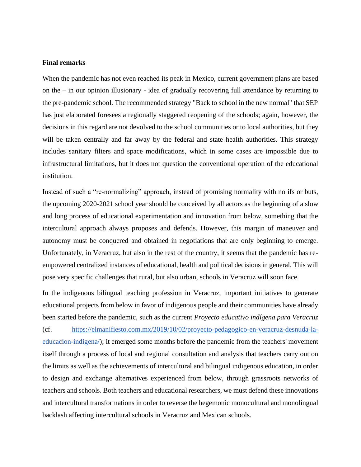### **Final remarks**

When the pandemic has not even reached its peak in Mexico, current government plans are based on the – in our opinion illusionary - idea of gradually recovering full attendance by returning to the pre-pandemic school. The recommended strategy "Back to school in the new normal" that SEP has just elaborated foresees a regionally staggered reopening of the schools; again, however, the decisions in this regard are not devolved to the school communities or to local authorities, but they will be taken centrally and far away by the federal and state health authorities. This strategy includes sanitary filters and space modifications, which in some cases are impossible due to infrastructural limitations, but it does not question the conventional operation of the educational institution.

Instead of such a "re-normalizing" approach, instead of promising normality with no ifs or buts, the upcoming 2020-2021 school year should be conceived by all actors as the beginning of a slow and long process of educational experimentation and innovation from below, something that the intercultural approach always proposes and defends. However, this margin of maneuver and autonomy must be conquered and obtained in negotiations that are only beginning to emerge. Unfortunately, in Veracruz, but also in the rest of the country, it seems that the pandemic has reempowered centralized instances of educational, health and political decisions in general. This will pose very specific challenges that rural, but also urban, schools in Veracruz will soon face.

In the indigenous bilingual teaching profession in Veracruz, important initiatives to generate educational projects from below in favor of indigenous people and their communities have already been started before the pandemic, such as the current *Proyecto educativo indígena para Veracruz* (cf. [https://elmanifiesto.com.mx/2019/10/02/proyecto-pedagogico-en-veracruz-desnuda-la](https://elmanifiesto.com.mx/2019/10/02/proyecto-pedagogico-en-veracruz-desnuda-la-educacion-indigena/)[educacion-indigena/\)](https://elmanifiesto.com.mx/2019/10/02/proyecto-pedagogico-en-veracruz-desnuda-la-educacion-indigena/); it emerged some months before the pandemic from the teachers' movement itself through a process of local and regional consultation and analysis that teachers carry out on the limits as well as the achievements of intercultural and bilingual indigenous education, in order to design and exchange alternatives experienced from below, through grassroots networks of teachers and schools. Both teachers and educational researchers, we must defend these innovations and intercultural transformations in order to reverse the hegemonic monocultural and monolingual backlash affecting intercultural schools in Veracruz and Mexican schools.